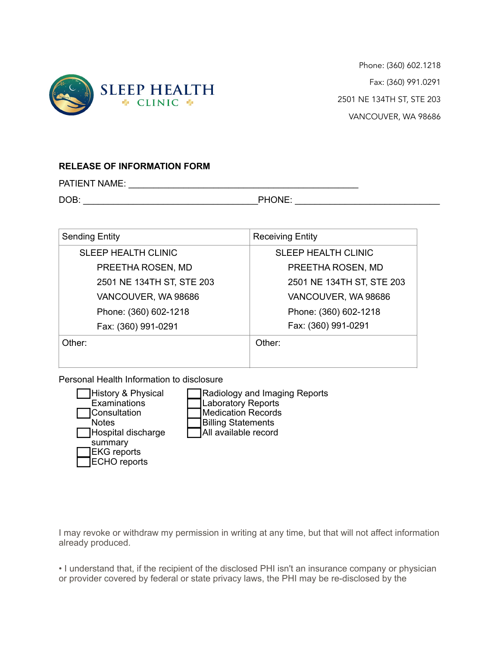

Phone: (360) 602.1218 Fax: (360) 991.0291 2501 NE 134TH ST, STE 203 VANCOUVER, WA 98686

## **RELEASE OF INFORMATION FORM**

PATIENT NAME: \_\_\_\_\_\_\_\_\_\_\_\_\_\_\_\_\_\_\_\_\_\_\_\_\_\_\_\_\_\_\_\_\_\_\_\_\_\_\_\_\_\_\_\_\_\_

DOB: \_\_\_\_\_\_\_\_\_\_\_\_\_\_\_\_\_\_\_\_\_\_\_\_\_\_\_\_\_\_\_\_\_\_\_PHONE: \_\_\_\_\_\_\_\_\_\_\_\_\_\_\_\_\_\_\_\_\_\_\_\_\_\_\_\_\_

| <b>Sending Entity</b>      | <b>Receiving Entity</b>    |
|----------------------------|----------------------------|
| <b>SLEEP HEALTH CLINIC</b> | <b>SLEEP HEALTH CLINIC</b> |
| PREETHA ROSEN, MD          | PREETHA ROSEN, MD          |
| 2501 NE 134TH ST, STE 203  | 2501 NE 134TH ST, STE 203  |
| VANCOUVER, WA 98686        | VANCOUVER, WA 98686        |
| Phone: (360) 602-1218      | Phone: (360) 602-1218      |
| Fax: (360) 991-0291        | Fax: (360) 991-0291        |
| Other:                     | Other:                     |
|                            |                            |

Personal Health Information to disclosure

| <b>History &amp; Physical</b> |  |
|-------------------------------|--|
| Examinations                  |  |
| Consultation                  |  |
| <b>Notes</b>                  |  |
| Hospital discharge            |  |
| summary                       |  |
| <b>EKG</b> reports            |  |
| <b>ECHO</b> reports           |  |

adiology and Imaging Reports aboratory Reports Medication Records Billing Statements All available record

I may revoke or withdraw my permission in writing at any time, but that will not affect information already produced.

• I understand that, if the recipient of the disclosed PHI isn't an insurance company or physician or provider covered by federal or state privacy laws, the PHI may be re-disclosed by the